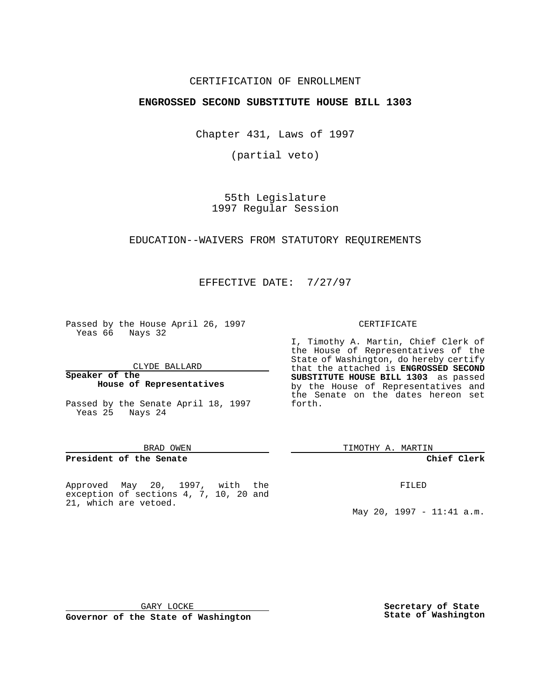## CERTIFICATION OF ENROLLMENT

## **ENGROSSED SECOND SUBSTITUTE HOUSE BILL 1303**

Chapter 431, Laws of 1997

(partial veto)

55th Legislature 1997 Regular Session

### EDUCATION--WAIVERS FROM STATUTORY REQUIREMENTS

EFFECTIVE DATE: 7/27/97

Passed by the House April 26, 1997 Yeas 66 Nays 32

CLYDE BALLARD

**Speaker of the House of Representatives**

Passed by the Senate April 18, 1997 Yeas 25 Nays 24

#### BRAD OWEN

#### **President of the Senate**

Approved May 20, 1997, with the exception of sections 4, 7, 10, 20 and 21, which are vetoed.

#### CERTIFICATE

I, Timothy A. Martin, Chief Clerk of the House of Representatives of the State of Washington, do hereby certify that the attached is **ENGROSSED SECOND SUBSTITUTE HOUSE BILL 1303** as passed by the House of Representatives and the Senate on the dates hereon set forth.

TIMOTHY A. MARTIN

#### **Chief Clerk**

FILED

May 20, 1997 - 11:41 a.m.

GARY LOCKE

**Governor of the State of Washington**

**Secretary of State State of Washington**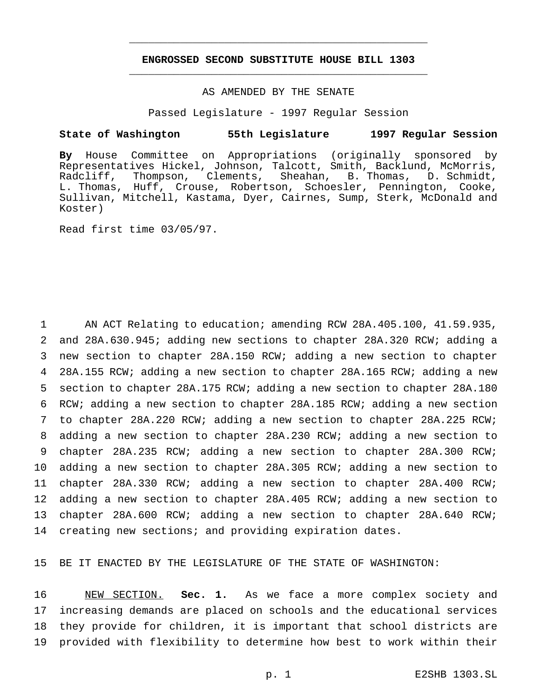# **ENGROSSED SECOND SUBSTITUTE HOUSE BILL 1303** \_\_\_\_\_\_\_\_\_\_\_\_\_\_\_\_\_\_\_\_\_\_\_\_\_\_\_\_\_\_\_\_\_\_\_\_\_\_\_\_\_\_\_\_\_\_\_

\_\_\_\_\_\_\_\_\_\_\_\_\_\_\_\_\_\_\_\_\_\_\_\_\_\_\_\_\_\_\_\_\_\_\_\_\_\_\_\_\_\_\_\_\_\_\_

## AS AMENDED BY THE SENATE

Passed Legislature - 1997 Regular Session

#### **State of Washington 55th Legislature 1997 Regular Session**

**By** House Committee on Appropriations (originally sponsored by Representatives Hickel, Johnson, Talcott, Smith, Backlund, McMorris, Radcliff, Thompson, Clements, Sheahan, B. Thomas, D. Schmidt, L. Thomas, Huff, Crouse, Robertson, Schoesler, Pennington, Cooke, Sullivan, Mitchell, Kastama, Dyer, Cairnes, Sump, Sterk, McDonald and Koster)

Read first time 03/05/97.

 AN ACT Relating to education; amending RCW 28A.405.100, 41.59.935, and 28A.630.945; adding new sections to chapter 28A.320 RCW; adding a new section to chapter 28A.150 RCW; adding a new section to chapter 28A.155 RCW; adding a new section to chapter 28A.165 RCW; adding a new section to chapter 28A.175 RCW; adding a new section to chapter 28A.180 RCW; adding a new section to chapter 28A.185 RCW; adding a new section to chapter 28A.220 RCW; adding a new section to chapter 28A.225 RCW; adding a new section to chapter 28A.230 RCW; adding a new section to chapter 28A.235 RCW; adding a new section to chapter 28A.300 RCW; adding a new section to chapter 28A.305 RCW; adding a new section to chapter 28A.330 RCW; adding a new section to chapter 28A.400 RCW; adding a new section to chapter 28A.405 RCW; adding a new section to chapter 28A.600 RCW; adding a new section to chapter 28A.640 RCW; creating new sections; and providing expiration dates.

15 BE IT ENACTED BY THE LEGISLATURE OF THE STATE OF WASHINGTON:

 NEW SECTION. **Sec. 1.** As we face a more complex society and increasing demands are placed on schools and the educational services they provide for children, it is important that school districts are provided with flexibility to determine how best to work within their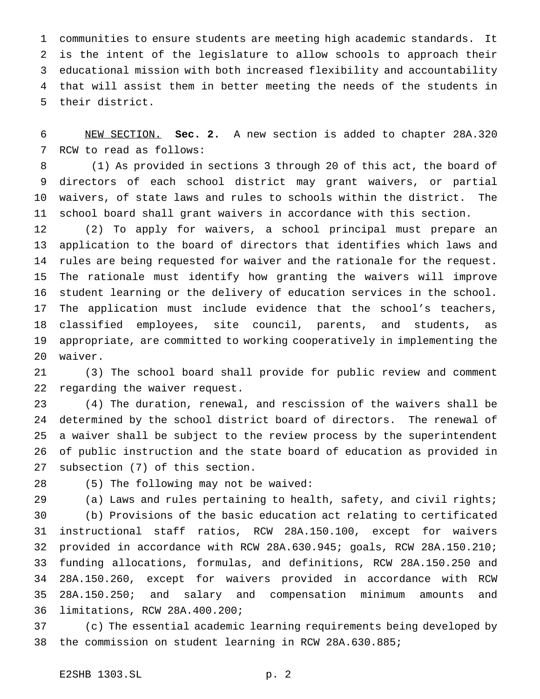communities to ensure students are meeting high academic standards. It is the intent of the legislature to allow schools to approach their educational mission with both increased flexibility and accountability that will assist them in better meeting the needs of the students in their district.

 NEW SECTION. **Sec. 2.** A new section is added to chapter 28A.320 RCW to read as follows:

 (1) As provided in sections 3 through 20 of this act, the board of directors of each school district may grant waivers, or partial waivers, of state laws and rules to schools within the district. The school board shall grant waivers in accordance with this section.

 (2) To apply for waivers, a school principal must prepare an application to the board of directors that identifies which laws and rules are being requested for waiver and the rationale for the request. The rationale must identify how granting the waivers will improve student learning or the delivery of education services in the school. The application must include evidence that the school's teachers, classified employees, site council, parents, and students, as appropriate, are committed to working cooperatively in implementing the waiver.

 (3) The school board shall provide for public review and comment regarding the waiver request.

 (4) The duration, renewal, and rescission of the waivers shall be determined by the school district board of directors. The renewal of a waiver shall be subject to the review process by the superintendent of public instruction and the state board of education as provided in subsection (7) of this section.

(5) The following may not be waived:

 (a) Laws and rules pertaining to health, safety, and civil rights; (b) Provisions of the basic education act relating to certificated instructional staff ratios, RCW 28A.150.100, except for waivers provided in accordance with RCW 28A.630.945; goals, RCW 28A.150.210; funding allocations, formulas, and definitions, RCW 28A.150.250 and 28A.150.260, except for waivers provided in accordance with RCW 28A.150.250; and salary and compensation minimum amounts and limitations, RCW 28A.400.200;

 (c) The essential academic learning requirements being developed by the commission on student learning in RCW 28A.630.885;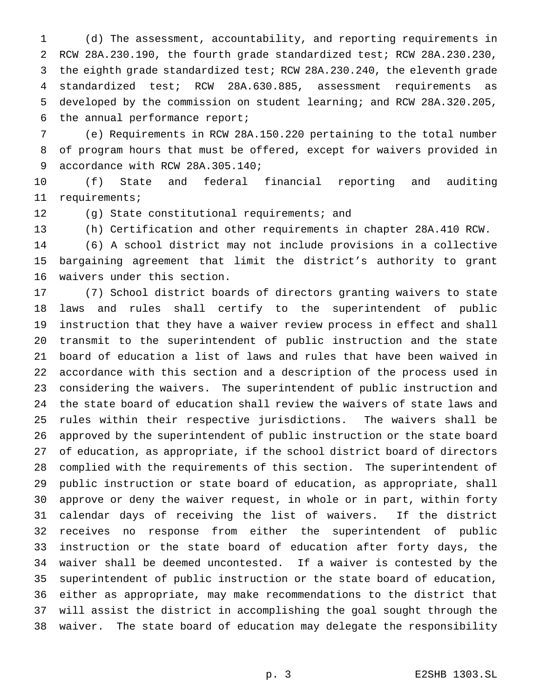(d) The assessment, accountability, and reporting requirements in RCW 28A.230.190, the fourth grade standardized test; RCW 28A.230.230, the eighth grade standardized test; RCW 28A.230.240, the eleventh grade standardized test; RCW 28A.630.885, assessment requirements as developed by the commission on student learning; and RCW 28A.320.205, the annual performance report;

 (e) Requirements in RCW 28A.150.220 pertaining to the total number of program hours that must be offered, except for waivers provided in accordance with RCW 28A.305.140;

 (f) State and federal financial reporting and auditing requirements;

(g) State constitutional requirements; and

(h) Certification and other requirements in chapter 28A.410 RCW.

 (6) A school district may not include provisions in a collective bargaining agreement that limit the district's authority to grant waivers under this section.

 (7) School district boards of directors granting waivers to state laws and rules shall certify to the superintendent of public instruction that they have a waiver review process in effect and shall transmit to the superintendent of public instruction and the state board of education a list of laws and rules that have been waived in accordance with this section and a description of the process used in considering the waivers. The superintendent of public instruction and the state board of education shall review the waivers of state laws and rules within their respective jurisdictions. The waivers shall be approved by the superintendent of public instruction or the state board of education, as appropriate, if the school district board of directors complied with the requirements of this section. The superintendent of public instruction or state board of education, as appropriate, shall approve or deny the waiver request, in whole or in part, within forty calendar days of receiving the list of waivers. If the district receives no response from either the superintendent of public instruction or the state board of education after forty days, the waiver shall be deemed uncontested. If a waiver is contested by the superintendent of public instruction or the state board of education, either as appropriate, may make recommendations to the district that will assist the district in accomplishing the goal sought through the waiver. The state board of education may delegate the responsibility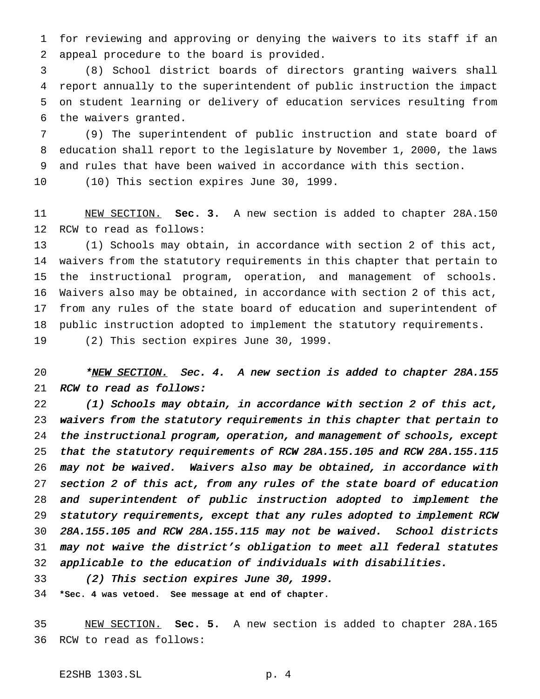for reviewing and approving or denying the waivers to its staff if an appeal procedure to the board is provided.

 (8) School district boards of directors granting waivers shall report annually to the superintendent of public instruction the impact on student learning or delivery of education services resulting from the waivers granted.

 (9) The superintendent of public instruction and state board of education shall report to the legislature by November 1, 2000, the laws and rules that have been waived in accordance with this section.

(10) This section expires June 30, 1999.

 NEW SECTION. **Sec. 3.** A new section is added to chapter 28A.150 RCW to read as follows:

 (1) Schools may obtain, in accordance with section 2 of this act, waivers from the statutory requirements in this chapter that pertain to the instructional program, operation, and management of schools. Waivers also may be obtained, in accordance with section 2 of this act, from any rules of the state board of education and superintendent of public instruction adopted to implement the statutory requirements.

(2) This section expires June 30, 1999.

# 20 \*<u>NEW SECTION.</u> Sec. 4. A new section is added to chapter 28A.155 RCW to read as follows:

 (1) Schools may obtain, in accordance with section <sup>2</sup> of this act, waivers from the statutory requirements in this chapter that pertain to the instructional program, operation, and management of schools, except that the statutory requirements of RCW 28A.155.105 and RCW 28A.155.115 may not be waived. Waivers also may be obtained, in accordance with section <sup>2</sup> of this act, from any rules of the state board of education and superintendent of public instruction adopted to implement the statutory requirements, except that any rules adopted to implement RCW 28A.155.105 and RCW 28A.155.115 may not be waived. School districts may not waive the district's obligation to meet all federal statutes applicable to the education of individuals with disabilities.

(2) This section expires June 30, 1999.

**\*Sec. 4 was vetoed. See message at end of chapter.**

 NEW SECTION. **Sec. 5.** A new section is added to chapter 28A.165 RCW to read as follows: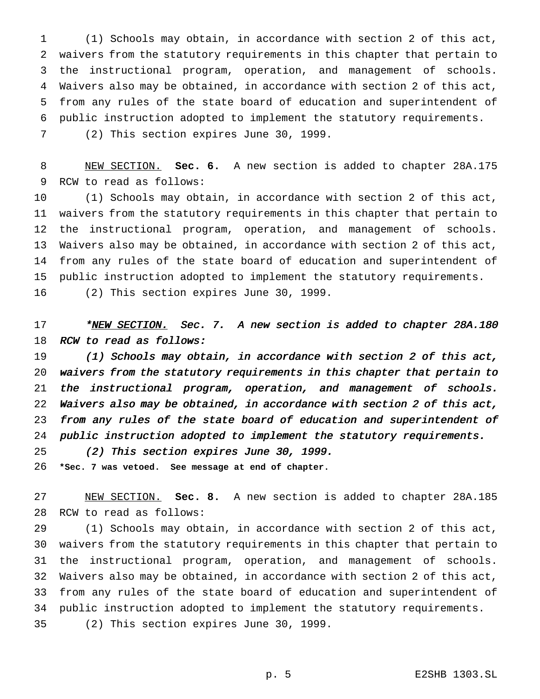(1) Schools may obtain, in accordance with section 2 of this act, waivers from the statutory requirements in this chapter that pertain to the instructional program, operation, and management of schools. Waivers also may be obtained, in accordance with section 2 of this act, from any rules of the state board of education and superintendent of public instruction adopted to implement the statutory requirements. (2) This section expires June 30, 1999.

 NEW SECTION. **Sec. 6.** A new section is added to chapter 28A.175 RCW to read as follows:

 (1) Schools may obtain, in accordance with section 2 of this act, waivers from the statutory requirements in this chapter that pertain to the instructional program, operation, and management of schools. Waivers also may be obtained, in accordance with section 2 of this act, from any rules of the state board of education and superintendent of public instruction adopted to implement the statutory requirements.

(2) This section expires June 30, 1999.

17 \*NEW SECTION. Sec. 7. A new section is added to chapter 28A.180 18 RCW to read as follows:

 (1) Schools may obtain, in accordance with section <sup>2</sup> of this act, waivers from the statutory requirements in this chapter that pertain to the instructional program, operation, and management of schools. Waivers also may be obtained, in accordance with section <sup>2</sup> of this act, from any rules of the state board of education and superintendent of public instruction adopted to implement the statutory requirements.

(2) This section expires June 30, 1999.

**\*Sec. 7 was vetoed. See message at end of chapter.**

 NEW SECTION. **Sec. 8.** A new section is added to chapter 28A.185 RCW to read as follows:

 (1) Schools may obtain, in accordance with section 2 of this act, waivers from the statutory requirements in this chapter that pertain to the instructional program, operation, and management of schools. Waivers also may be obtained, in accordance with section 2 of this act, from any rules of the state board of education and superintendent of public instruction adopted to implement the statutory requirements. (2) This section expires June 30, 1999.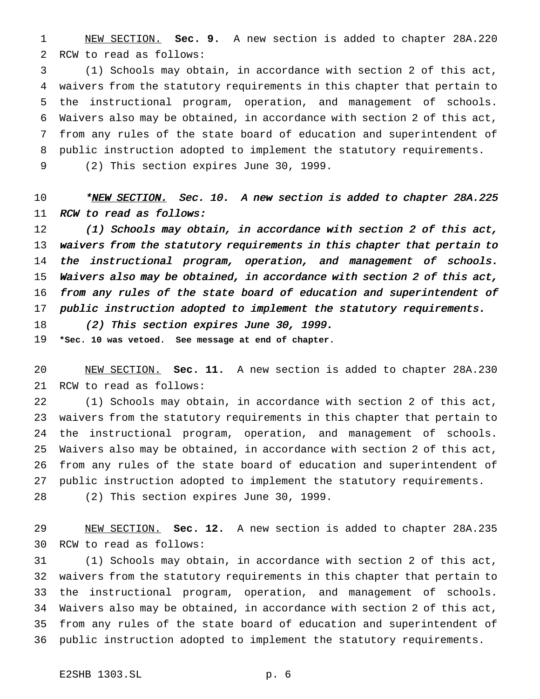NEW SECTION. **Sec. 9.** A new section is added to chapter 28A.220 RCW to read as follows:

 (1) Schools may obtain, in accordance with section 2 of this act, waivers from the statutory requirements in this chapter that pertain to the instructional program, operation, and management of schools. Waivers also may be obtained, in accordance with section 2 of this act, from any rules of the state board of education and superintendent of public instruction adopted to implement the statutory requirements.

(2) This section expires June 30, 1999.

10 \*<u>NEW SECTION.</u> Sec. 10. A new section is added to chapter 28A.225 RCW to read as follows:

 (1) Schools may obtain, in accordance with section <sup>2</sup> of this act, waivers from the statutory requirements in this chapter that pertain to the instructional program, operation, and management of schools. Waivers also may be obtained, in accordance with section <sup>2</sup> of this act, from any rules of the state board of education and superintendent of public instruction adopted to implement the statutory requirements.

(2) This section expires June 30, 1999.

**\*Sec. 10 was vetoed. See message at end of chapter.**

 NEW SECTION. **Sec. 11.** A new section is added to chapter 28A.230 RCW to read as follows:

 (1) Schools may obtain, in accordance with section 2 of this act, waivers from the statutory requirements in this chapter that pertain to the instructional program, operation, and management of schools. Waivers also may be obtained, in accordance with section 2 of this act, from any rules of the state board of education and superintendent of public instruction adopted to implement the statutory requirements. (2) This section expires June 30, 1999.

 NEW SECTION. **Sec. 12.** A new section is added to chapter 28A.235 RCW to read as follows:

 (1) Schools may obtain, in accordance with section 2 of this act, waivers from the statutory requirements in this chapter that pertain to the instructional program, operation, and management of schools. Waivers also may be obtained, in accordance with section 2 of this act, from any rules of the state board of education and superintendent of public instruction adopted to implement the statutory requirements.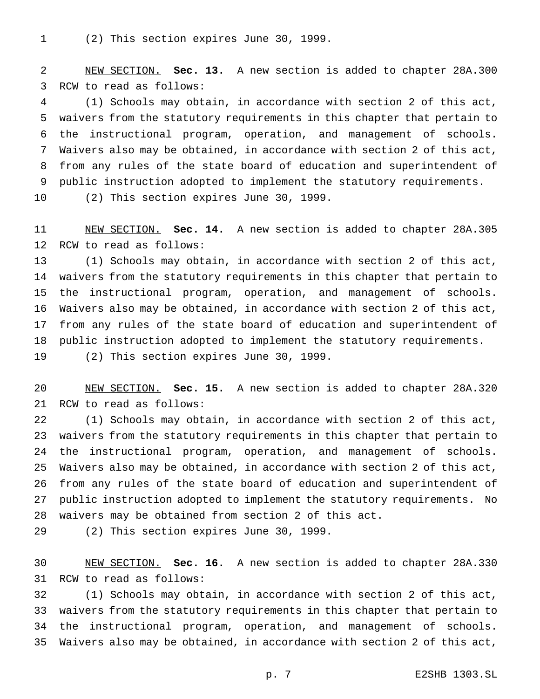(2) This section expires June 30, 1999.

 NEW SECTION. **Sec. 13.** A new section is added to chapter 28A.300 RCW to read as follows:

 (1) Schools may obtain, in accordance with section 2 of this act, waivers from the statutory requirements in this chapter that pertain to the instructional program, operation, and management of schools. Waivers also may be obtained, in accordance with section 2 of this act, from any rules of the state board of education and superintendent of public instruction adopted to implement the statutory requirements.

(2) This section expires June 30, 1999.

 NEW SECTION. **Sec. 14.** A new section is added to chapter 28A.305 RCW to read as follows:

 (1) Schools may obtain, in accordance with section 2 of this act, waivers from the statutory requirements in this chapter that pertain to the instructional program, operation, and management of schools. Waivers also may be obtained, in accordance with section 2 of this act, from any rules of the state board of education and superintendent of public instruction adopted to implement the statutory requirements.

(2) This section expires June 30, 1999.

 NEW SECTION. **Sec. 15.** A new section is added to chapter 28A.320 RCW to read as follows:

 (1) Schools may obtain, in accordance with section 2 of this act, waivers from the statutory requirements in this chapter that pertain to the instructional program, operation, and management of schools. Waivers also may be obtained, in accordance with section 2 of this act, from any rules of the state board of education and superintendent of public instruction adopted to implement the statutory requirements. No waivers may be obtained from section 2 of this act.

(2) This section expires June 30, 1999.

 NEW SECTION. **Sec. 16.** A new section is added to chapter 28A.330 RCW to read as follows:

 (1) Schools may obtain, in accordance with section 2 of this act, waivers from the statutory requirements in this chapter that pertain to the instructional program, operation, and management of schools. Waivers also may be obtained, in accordance with section 2 of this act,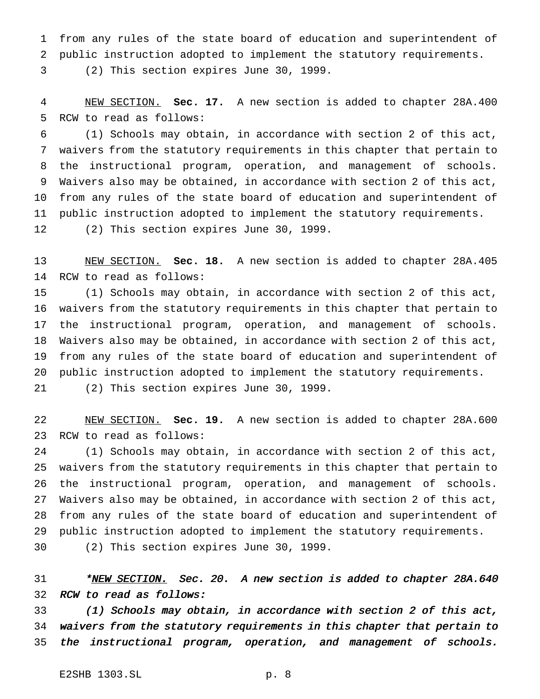from any rules of the state board of education and superintendent of public instruction adopted to implement the statutory requirements.

(2) This section expires June 30, 1999.

 NEW SECTION. **Sec. 17.** A new section is added to chapter 28A.400 RCW to read as follows:

 (1) Schools may obtain, in accordance with section 2 of this act, waivers from the statutory requirements in this chapter that pertain to the instructional program, operation, and management of schools. Waivers also may be obtained, in accordance with section 2 of this act, from any rules of the state board of education and superintendent of public instruction adopted to implement the statutory requirements. (2) This section expires June 30, 1999.

 NEW SECTION. **Sec. 18.** A new section is added to chapter 28A.405 RCW to read as follows:

 (1) Schools may obtain, in accordance with section 2 of this act, waivers from the statutory requirements in this chapter that pertain to the instructional program, operation, and management of schools. Waivers also may be obtained, in accordance with section 2 of this act, from any rules of the state board of education and superintendent of public instruction adopted to implement the statutory requirements. (2) This section expires June 30, 1999.

 NEW SECTION. **Sec. 19.** A new section is added to chapter 28A.600 RCW to read as follows:

 (1) Schools may obtain, in accordance with section 2 of this act, waivers from the statutory requirements in this chapter that pertain to the instructional program, operation, and management of schools. Waivers also may be obtained, in accordance with section 2 of this act, from any rules of the state board of education and superintendent of public instruction adopted to implement the statutory requirements.

(2) This section expires June 30, 1999.

31 \*NEW SECTION. Sec. 20. A new section is added to chapter 28A.640 RCW to read as follows:

 (1) Schools may obtain, in accordance with section <sup>2</sup> of this act, waivers from the statutory requirements in this chapter that pertain to the instructional program, operation, and management of schools.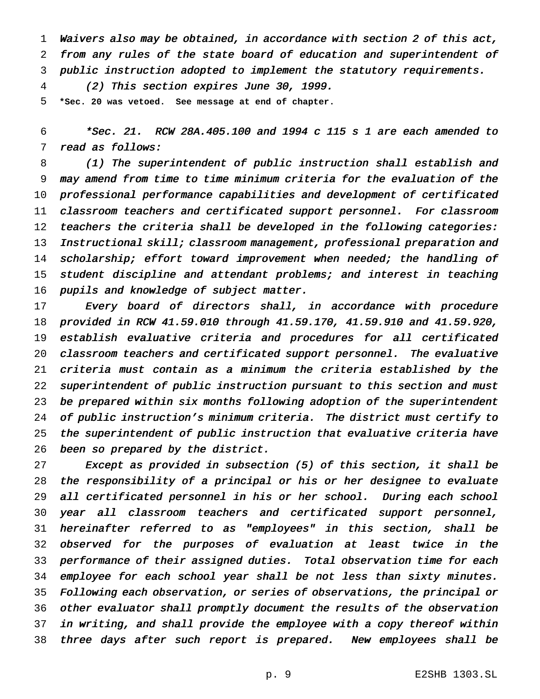Waivers also may be obtained, in accordance with section <sup>2</sup> of this act, from any rules of the state board of education and superintendent of public instruction adopted to implement the statutory requirements.

(2) This section expires June 30, 1999.

**\*Sec. 20 was vetoed. See message at end of chapter.**

 \*Sec. 21. RCW 28A.405.100 and <sup>1994</sup> <sup>c</sup> <sup>115</sup> <sup>s</sup> <sup>1</sup> are each amended to read as follows:

 (1) The superintendent of public instruction shall establish and may amend from time to time minimum criteria for the evaluation of the professional performance capabilities and development of certificated classroom teachers and certificated support personnel. For classroom teachers the criteria shall be developed in the following categories: 13 Instructional skill; classroom management, professional preparation and 14 scholarship; effort toward improvement when needed; the handling of student discipline and attendant problems; and interest in teaching 16 pupils and knowledge of subject matter.

 Every board of directors shall, in accordance with procedure provided in RCW 41.59.010 through 41.59.170, 41.59.910 and 41.59.920, establish evaluative criteria and procedures for all certificated classroom teachers and certificated support personnel. The evaluative criteria must contain as <sup>a</sup> minimum the criteria established by the superintendent of public instruction pursuant to this section and must be prepared within six months following adoption of the superintendent of public instruction's minimum criteria. The district must certify to the superintendent of public instruction that evaluative criteria have been so prepared by the district.

 Except as provided in subsection (5) of this section, it shall be the responsibility of <sup>a</sup> principal or his or her designee to evaluate all certificated personnel in his or her school. During each school year all classroom teachers and certificated support personnel, hereinafter referred to as "employees" in this section, shall be observed for the purposes of evaluation at least twice in the performance of their assigned duties. Total observation time for each employee for each school year shall be not less than sixty minutes. Following each observation, or series of observations, the principal or other evaluator shall promptly document the results of the observation in writing, and shall provide the employee with <sup>a</sup> copy thereof within three days after such report is prepared. New employees shall be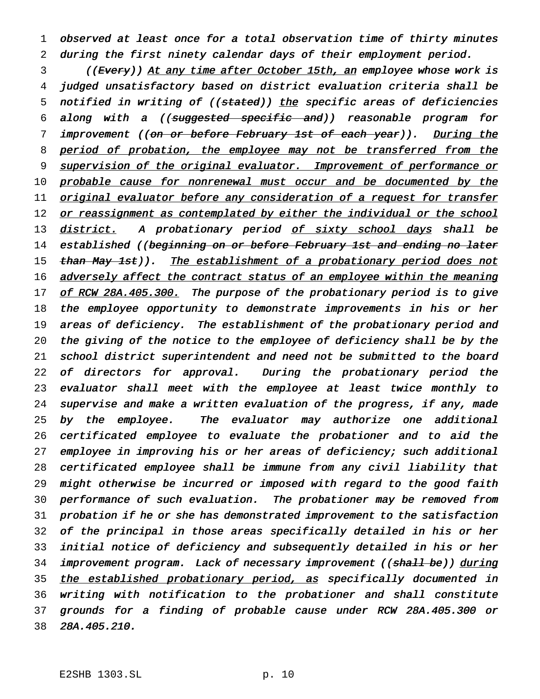1 observed at least once for <sup>a</sup> total observation time of thirty minutes 2 during the first ninety calendar days of their employment period.

3 ((Every)) At any time after October 15th, an employee whose work is 4 judged unsatisfactory based on district evaluation criteria shall be 5 notified in writing of ((stated)) the specific areas of deficiencies 6 along with <sup>a</sup> ((suggested specific and)) reasonable program for 7 improvement ((on or before February 1st of each year)). During the 8 period of probation, the employee may not be transferred from the 9 supervision of the original evaluator. Improvement of performance or 10 probable cause for nonrenewal must occur and be documented by the 11 original evaluator before any consideration of a request for transfer 12 or reassignment as contemplated by either the individual or the school 13 district. A probationary period of sixty school days shall be 14 established ((beginning on or before February 1st and ending no later 15 than May 1st)). The establishment of a probationary period does not 16 adversely affect the contract status of an employee within the meaning 17 of RCW 28A.405.300. The purpose of the probationary period is to give 18 the employee opportunity to demonstrate improvements in his or her 19 areas of deficiency. The establishment of the probationary period and 20 the giving of the notice to the employee of deficiency shall be by the 21 school district superintendent and need not be submitted to the board 22 of directors for approval. During the probationary period the 23 evaluator shall meet with the employee at least twice monthly to 24 supervise and make <sup>a</sup> written evaluation of the progress, if any, made 25 by the employee. The evaluator may authorize one additional 26 certificated employee to evaluate the probationer and to aid the 27 employee in improving his or her areas of deficiency; such additional 28 certificated employee shall be immune from any civil liability that 29 might otherwise be incurred or imposed with regard to the good faith 30 performance of such evaluation. The probationer may be removed from 31 probation if he or she has demonstrated improvement to the satisfaction 32 of the principal in those areas specifically detailed in his or her 33 initial notice of deficiency and subsequently detailed in his or her 34 improvement program. Lack of necessary improvement ((shall be)) during 35 the established probationary period, as specifically documented in 36 writing with notification to the probationer and shall constitute 37 grounds for <sup>a</sup> finding of probable cause under RCW 28A.405.300 or 38 28A.405.210.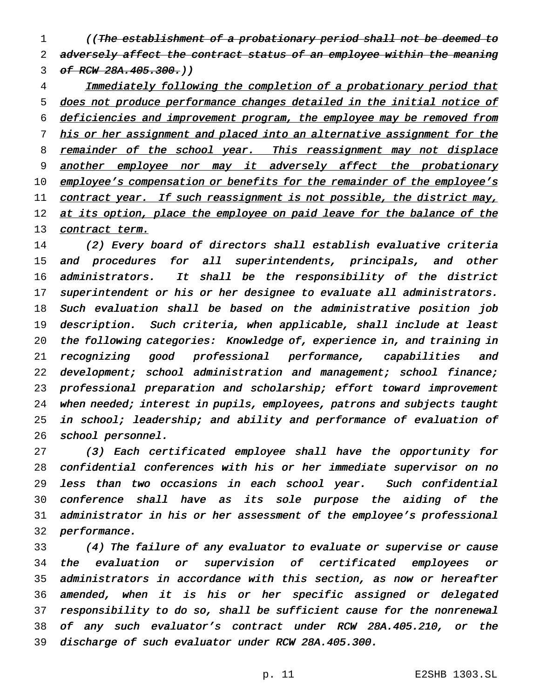1 (The establishment of a probationary period shall not be deemed to 2 adversely affect the contract status of an employee within the meaning 3 of RCW 28A.405.300.)

 Immediately following the completion of <sup>a</sup> probationary period that does not produce performance changes detailed in the initial notice of deficiencies and improvement program, the employee may be removed from 7 his or her assignment and placed into an alternative assignment for the 8 remainder of the school year. This reassignment may not displace 9 another employee nor may it adversely affect the probationary 10 employee's compensation or benefits for the remainder of the employee's 11 contract year. If such reassignment is not possible, the district may, 12 at its option, place the employee on paid leave for the balance of the 13 contract term.

 (2) Every board of directors shall establish evaluative criteria and procedures for all superintendents, principals, and other administrators. It shall be the responsibility of the district 17 superintendent or his or her designee to evaluate all administrators. Such evaluation shall be based on the administrative position job description. Such criteria, when applicable, shall include at least the following categories: Knowledge of, experience in, and training in recognizing good professional performance, capabilities and 22 development; school administration and management; school finance; professional preparation and scholarship; effort toward improvement 24 when needed; interest in pupils, employees, patrons and subjects taught in school; leadership; and ability and performance of evaluation of school personnel.

 (3) Each certificated employee shall have the opportunity for confidential conferences with his or her immediate supervisor on no less than two occasions in each school year. Such confidential conference shall have as its sole purpose the aiding of the administrator in his or her assessment of the employee's professional performance.

 (4) The failure of any evaluator to evaluate or supervise or cause the evaluation or supervision of certificated employees or administrators in accordance with this section, as now or hereafter amended, when it is his or her specific assigned or delegated responsibility to do so, shall be sufficient cause for the nonrenewal of any such evaluator's contract under RCW 28A.405.210, or the discharge of such evaluator under RCW 28A.405.300.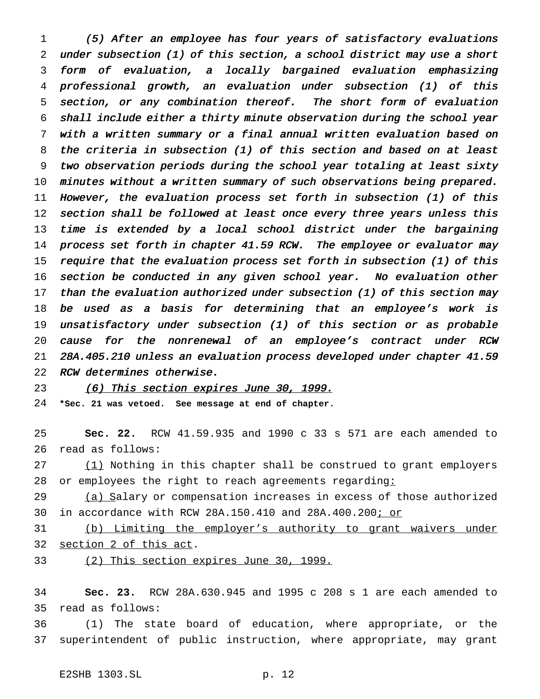(5) After an employee has four years of satisfactory evaluations under subsection (1) of this section, <sup>a</sup> school district may use <sup>a</sup> short form of evaluation, <sup>a</sup> locally bargained evaluation emphasizing professional growth, an evaluation under subsection (1) of this section, or any combination thereof. The short form of evaluation shall include either <sup>a</sup> thirty minute observation during the school year with <sup>a</sup> written summary or <sup>a</sup> final annual written evaluation based on the criteria in subsection (1) of this section and based on at least two observation periods during the school year totaling at least sixty minutes without <sup>a</sup> written summary of such observations being prepared. However, the evaluation process set forth in subsection (1) of this 12 section shall be followed at least once every three years unless this time is extended by <sup>a</sup> local school district under the bargaining 14 process set forth in chapter 41.59 RCW. The employee or evaluator may require that the evaluation process set forth in subsection (1) of this section be conducted in any given school year. No evaluation other 17 than the evaluation authorized under subsection (1) of this section may be used as <sup>a</sup> basis for determining that an employee's work is unsatisfactory under subsection (1) of this section or as probable cause for the nonrenewal of an employee's contract under RCW 28A.405.210 unless an evaluation process developed under chapter 41.59 RCW determines otherwise.

(6) This section expires June 30, 1999.

**\*Sec. 21 was vetoed. See message at end of chapter.**

 **Sec. 22.** RCW 41.59.935 and 1990 c 33 s 571 are each amended to read as follows:

27 (1) Nothing in this chapter shall be construed to grant employers or employees the right to reach agreements regarding:

29 (a) Salary or compensation increases in excess of those authorized in accordance with RCW 28A.150.410 and 28A.400.200; or

 (b) Limiting the employer's authority to grant waivers under section 2 of this act.

(2) This section expires June 30, 1999.

 **Sec. 23.** RCW 28A.630.945 and 1995 c 208 s 1 are each amended to read as follows:

 (1) The state board of education, where appropriate, or the superintendent of public instruction, where appropriate, may grant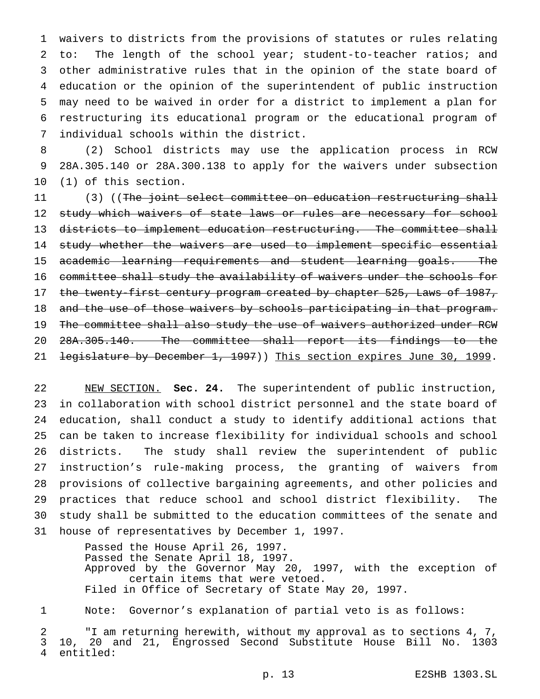waivers to districts from the provisions of statutes or rules relating to: The length of the school year; student-to-teacher ratios; and other administrative rules that in the opinion of the state board of education or the opinion of the superintendent of public instruction may need to be waived in order for a district to implement a plan for restructuring its educational program or the educational program of individual schools within the district.

 (2) School districts may use the application process in RCW 28A.305.140 or 28A.300.138 to apply for the waivers under subsection (1) of this section.

11 (3) ((The joint select committee on education restructuring shall 12 study which waivers of state laws or rules are necessary for school 13 districts to implement education restructuring. The committee shall 14 study whether the waivers are used to implement specific essential academic learning requirements and student learning goals. The 16 committee shall study the availability of waivers under the schools for 17 the twenty-first century program created by chapter 525, Laws of 1987, 18 and the use of those waivers by schools participating in that program. 19 The committee shall also study the use of waivers authorized under RCW 28A.305.140. The committee shall report its findings to the 21 <del>legislature by December 1, 1997</del>)) This section expires June 30, 1999.

 NEW SECTION. **Sec. 24.** The superintendent of public instruction, in collaboration with school district personnel and the state board of education, shall conduct a study to identify additional actions that can be taken to increase flexibility for individual schools and school districts. The study shall review the superintendent of public instruction's rule-making process, the granting of waivers from provisions of collective bargaining agreements, and other policies and practices that reduce school and school district flexibility. The study shall be submitted to the education committees of the senate and house of representatives by December 1, 1997.

> Passed the House April 26, 1997. Passed the Senate April 18, 1997. Approved by the Governor May 20, 1997, with the exception of certain items that were vetoed. Filed in Office of Secretary of State May 20, 1997.

Note: Governor's explanation of partial veto is as follows:

 "I am returning herewith, without my approval as to sections 4, 7, 10, 20 and 21, Engrossed Second Substitute House Bill No. 1303 entitled: